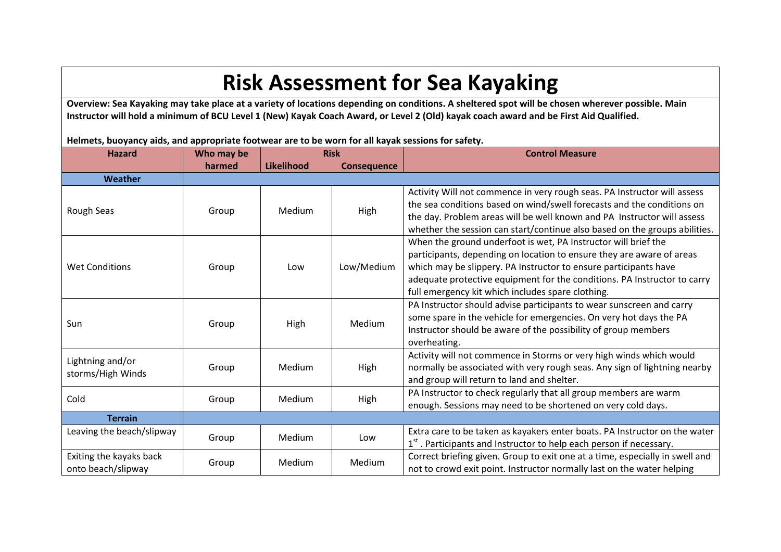## **Risk Assessment for Sea Kayaking**

**Overview: Sea Kayaking may take place at a variety of locations depending on conditions. A sheltered spot will be chosen wherever possible. Main Instructor will hold a minimum of BCU Level 1 (New) Kayak Coach Award, or Level 2 (Old) kayak coach award and be First Aid Qualified.**

**Helmets, buoyancy aids, and appropriate footwear are to be worn for all kayak sessions for safety.**

| <b>Hazard</b>                                 | Who may be | <b>Risk</b>       |                    | <b>Control Measure</b>                                                                                                                                                                                                                                                                                                                       |
|-----------------------------------------------|------------|-------------------|--------------------|----------------------------------------------------------------------------------------------------------------------------------------------------------------------------------------------------------------------------------------------------------------------------------------------------------------------------------------------|
|                                               | harmed     | <b>Likelihood</b> | <b>Consequence</b> |                                                                                                                                                                                                                                                                                                                                              |
| Weather                                       |            |                   |                    |                                                                                                                                                                                                                                                                                                                                              |
| Rough Seas                                    | Group      | Medium            | High               | Activity Will not commence in very rough seas. PA Instructor will assess<br>the sea conditions based on wind/swell forecasts and the conditions on<br>the day. Problem areas will be well known and PA Instructor will assess<br>whether the session can start/continue also based on the groups abilities.                                  |
| <b>Wet Conditions</b>                         | Group      | Low               | Low/Medium         | When the ground underfoot is wet, PA Instructor will brief the<br>participants, depending on location to ensure they are aware of areas<br>which may be slippery. PA Instructor to ensure participants have<br>adequate protective equipment for the conditions. PA Instructor to carry<br>full emergency kit which includes spare clothing. |
| Sun                                           | Group      | High              | Medium             | PA Instructor should advise participants to wear sunscreen and carry<br>some spare in the vehicle for emergencies. On very hot days the PA<br>Instructor should be aware of the possibility of group members<br>overheating.                                                                                                                 |
| Lightning and/or<br>storms/High Winds         | Group      | Medium            | High               | Activity will not commence in Storms or very high winds which would<br>normally be associated with very rough seas. Any sign of lightning nearby<br>and group will return to land and shelter.                                                                                                                                               |
| Cold                                          | Group      | Medium            | High               | PA Instructor to check regularly that all group members are warm<br>enough. Sessions may need to be shortened on very cold days.                                                                                                                                                                                                             |
| <b>Terrain</b>                                |            |                   |                    |                                                                                                                                                                                                                                                                                                                                              |
| Leaving the beach/slipway                     | Group      | Medium            | Low                | Extra care to be taken as kayakers enter boats. PA Instructor on the water<br>1st. Participants and Instructor to help each person if necessary.                                                                                                                                                                                             |
| Exiting the kayaks back<br>onto beach/slipway | Group      | Medium            | Medium             | Correct briefing given. Group to exit one at a time, especially in swell and<br>not to crowd exit point. Instructor normally last on the water helping                                                                                                                                                                                       |